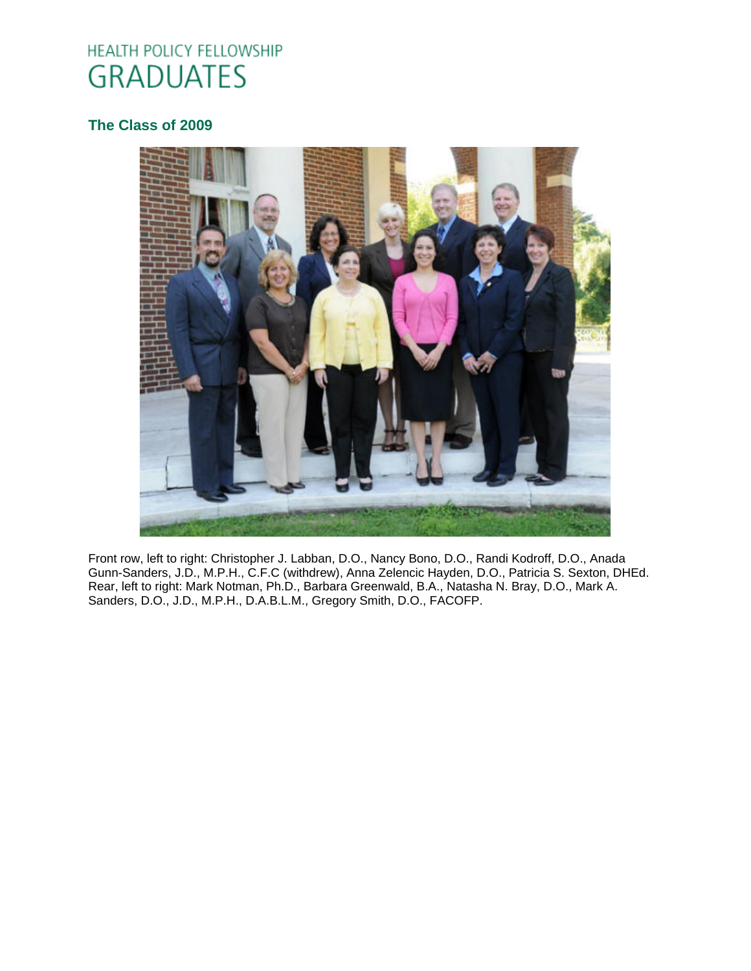# HEALTH POLICY FELLOWSHIP **GRADUATES**

# **[The Class of 2009](http://www.oucom.ohiou.edu/hpf/Graduates2010.htm)**



Front row, left to right: Christopher J. Labban, D.O., Nancy Bono, D.O., Randi Kodroff, D.O., Anada Gunn-Sanders, J.D., M.P.H., C.F.C (withdrew), Anna Zelencic Hayden, D.O., Patricia S. Sexton, DHEd. Rear, left to right: Mark Notman, Ph.D., Barbara Greenwald, B.A., Natasha N. Bray, D.O., Mark A. Sanders, D.O., J.D., M.P.H., D.A.B.L.M., Gregory Smith, D.O., FACOFP.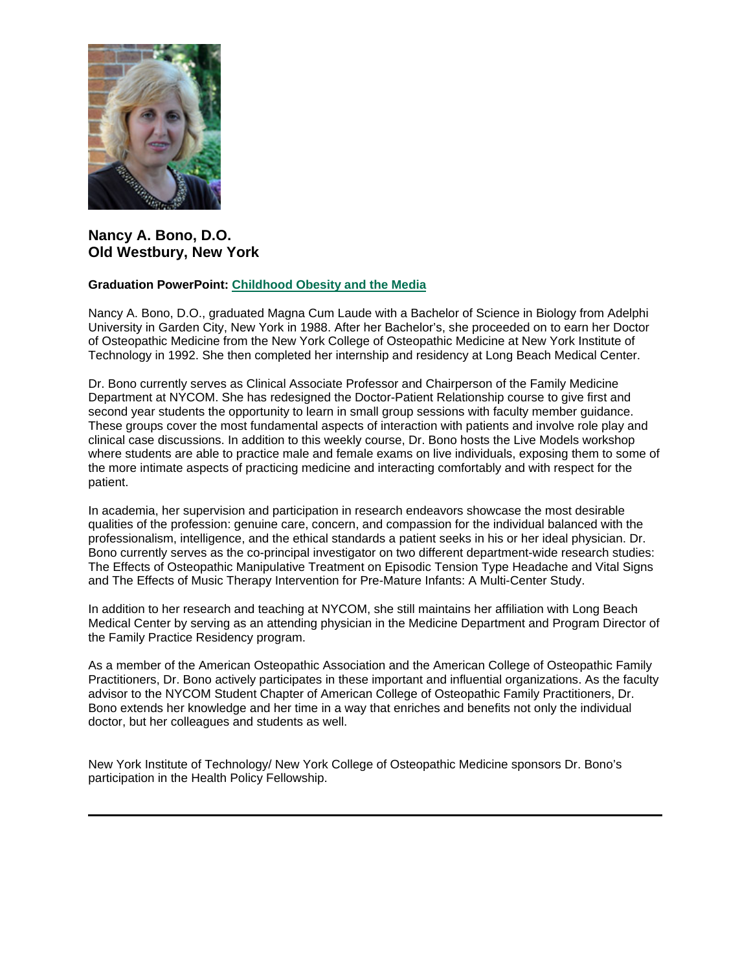

# **Nancy A. Bono, D.O. Old Westbury, New York**

#### **Graduation PowerPoint: [Childhood Obesity and the Media](https://ohio.box.com/s/7jp0hxfcffy0fia3srzo5i72wfn3jdzu)**

Nancy A. Bono, D.O., graduated Magna Cum Laude with a Bachelor of Science in Biology from Adelphi University in Garden City, New York in 1988. After her Bachelor's, she proceeded on to earn her Doctor of Osteopathic Medicine from the New York College of Osteopathic Medicine at New York Institute of Technology in 1992. She then completed her internship and residency at Long Beach Medical Center.

Dr. Bono currently serves as Clinical Associate Professor and Chairperson of the Family Medicine Department at NYCOM. She has redesigned the Doctor-Patient Relationship course to give first and second year students the opportunity to learn in small group sessions with faculty member guidance. These groups cover the most fundamental aspects of interaction with patients and involve role play and clinical case discussions. In addition to this weekly course, Dr. Bono hosts the Live Models workshop where students are able to practice male and female exams on live individuals, exposing them to some of the more intimate aspects of practicing medicine and interacting comfortably and with respect for the patient.

In academia, her supervision and participation in research endeavors showcase the most desirable qualities of the profession: genuine care, concern, and compassion for the individual balanced with the professionalism, intelligence, and the ethical standards a patient seeks in his or her ideal physician. Dr. Bono currently serves as the co-principal investigator on two different department-wide research studies: The Effects of Osteopathic Manipulative Treatment on Episodic Tension Type Headache and Vital Signs and The Effects of Music Therapy Intervention for Pre-Mature Infants: A Multi-Center Study.

In addition to her research and teaching at NYCOM, she still maintains her affiliation with Long Beach Medical Center by serving as an attending physician in the Medicine Department and Program Director of the Family Practice Residency program.

As a member of the American Osteopathic Association and the American College of Osteopathic Family Practitioners, Dr. Bono actively participates in these important and influential organizations. As the faculty advisor to the NYCOM Student Chapter of American College of Osteopathic Family Practitioners, Dr. Bono extends her knowledge and her time in a way that enriches and benefits not only the individual doctor, but her colleagues and students as well.

New York Institute of Technology/ New York College of Osteopathic Medicine sponsors Dr. Bono's participation in the Health Policy Fellowship.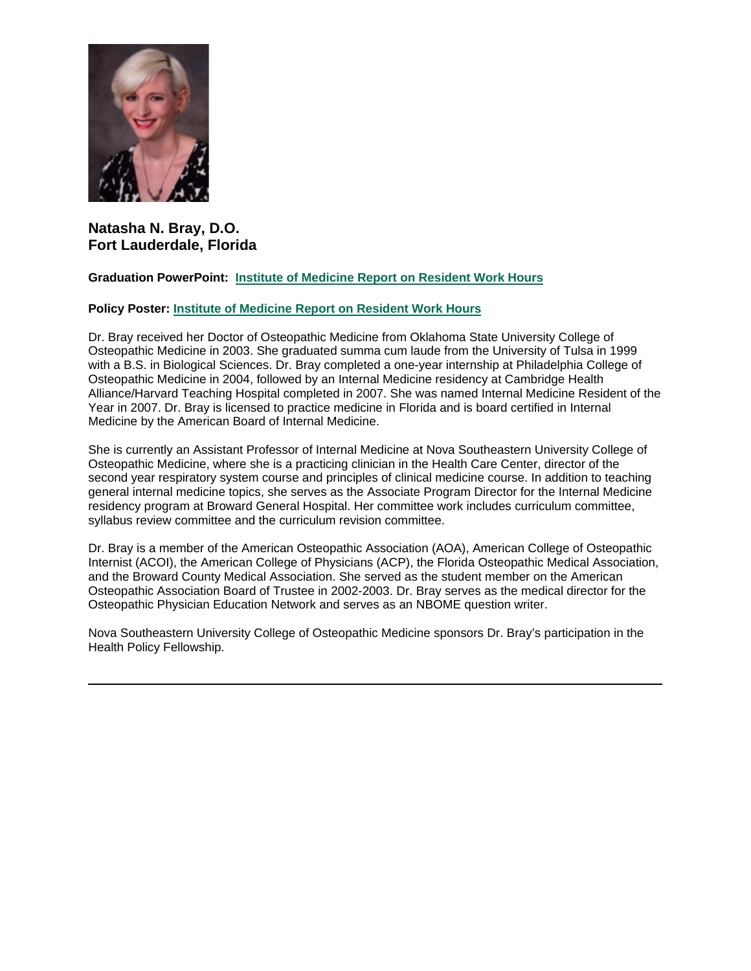

# **Natasha N. Bray, D.O. Fort Lauderdale, Florida**

## **Graduation PowerPoint: [Institute of Medicine Report on Resident Work Hours](https://ohio.box.com/s/9x1tlplvlo408b2su8g8e2ygrzh1y37b)**

#### **Policy Poster: [Institute of Medicine Report on Resident Work Hours](https://ohio.box.com/s/3djn88xlryxumg45x5gj3s7c8pn2p48m)**

Dr. Bray received her Doctor of Osteopathic Medicine from Oklahoma State University College of Osteopathic Medicine in 2003. She graduated summa cum laude from the University of Tulsa in 1999 with a B.S. in Biological Sciences. Dr. Bray completed a one-year internship at Philadelphia College of Osteopathic Medicine in 2004, followed by an Internal Medicine residency at Cambridge Health Alliance/Harvard Teaching Hospital completed in 2007. She was named Internal Medicine Resident of the Year in 2007. Dr. Bray is licensed to practice medicine in Florida and is board certified in Internal Medicine by the American Board of Internal Medicine.

She is currently an Assistant Professor of Internal Medicine at Nova Southeastern University College of Osteopathic Medicine, where she is a practicing clinician in the Health Care Center, director of the second year respiratory system course and principles of clinical medicine course. In addition to teaching general internal medicine topics, she serves as the Associate Program Director for the Internal Medicine residency program at Broward General Hospital. Her committee work includes curriculum committee, syllabus review committee and the curriculum revision committee.

Dr. Bray is a member of the American Osteopathic Association (AOA), American College of Osteopathic Internist (ACOI), the American College of Physicians (ACP), the Florida Osteopathic Medical Association, and the Broward County Medical Association. She served as the student member on the American Osteopathic Association Board of Trustee in 2002-2003. Dr. Bray serves as the medical director for the Osteopathic Physician Education Network and serves as an NBOME question writer.

Nova Southeastern University College of Osteopathic Medicine sponsors Dr. Bray's participation in the Health Policy Fellowship.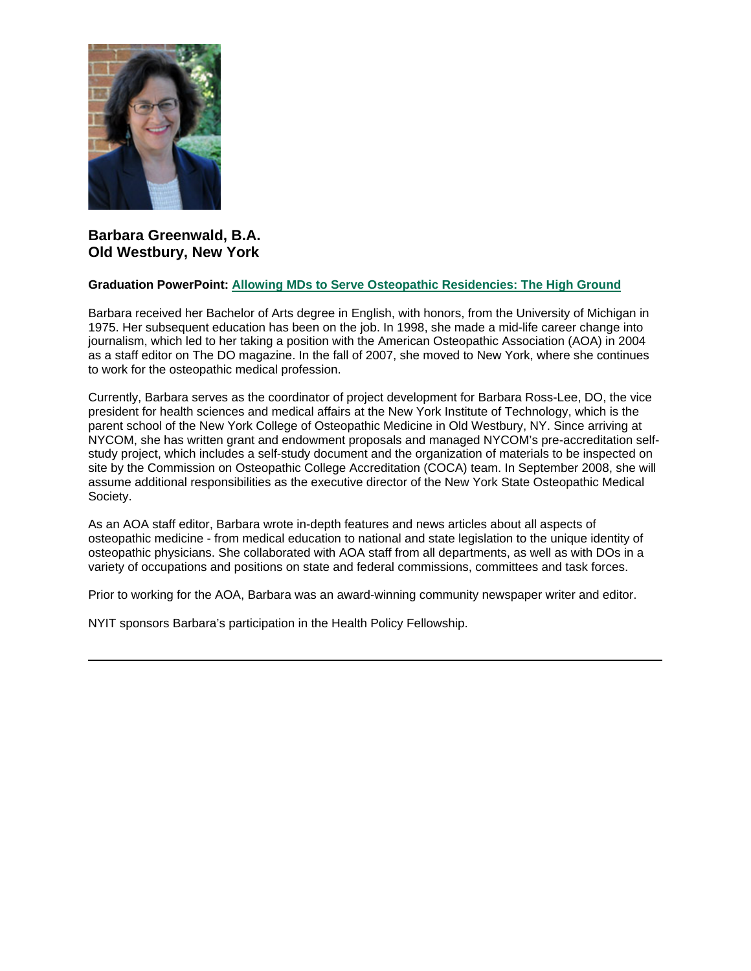

## **Barbara Greenwald, B.A. Old Westbury, New York**

#### **Graduation PowerPoint: [Allowing MDs to Serve Osteopathic Residencies: The High Ground](https://ohio.box.com/s/6gifmcm6qd16slvvkzmzuja3y2ay0loy)**

Barbara received her Bachelor of Arts degree in English, with honors, from the University of Michigan in 1975. Her subsequent education has been on the job. In 1998, she made a mid-life career change into journalism, which led to her taking a position with the American Osteopathic Association (AOA) in 2004 as a staff editor on The DO magazine. In the fall of 2007, she moved to New York, where she continues to work for the osteopathic medical profession.

Currently, Barbara serves as the coordinator of project development for Barbara Ross-Lee, DO, the vice president for health sciences and medical affairs at the New York Institute of Technology, which is the parent school of the New York College of Osteopathic Medicine in Old Westbury, NY. Since arriving at NYCOM, she has written grant and endowment proposals and managed NYCOM's pre-accreditation selfstudy project, which includes a self-study document and the organization of materials to be inspected on site by the Commission on Osteopathic College Accreditation (COCA) team. In September 2008, she will assume additional responsibilities as the executive director of the New York State Osteopathic Medical Society.

As an AOA staff editor, Barbara wrote in-depth features and news articles about all aspects of osteopathic medicine - from medical education to national and state legislation to the unique identity of osteopathic physicians. She collaborated with AOA staff from all departments, as well as with DOs in a variety of occupations and positions on state and federal commissions, committees and task forces.

Prior to working for the AOA, Barbara was an award-winning community newspaper writer and editor.

NYIT sponsors Barbara's participation in the Health Policy Fellowship.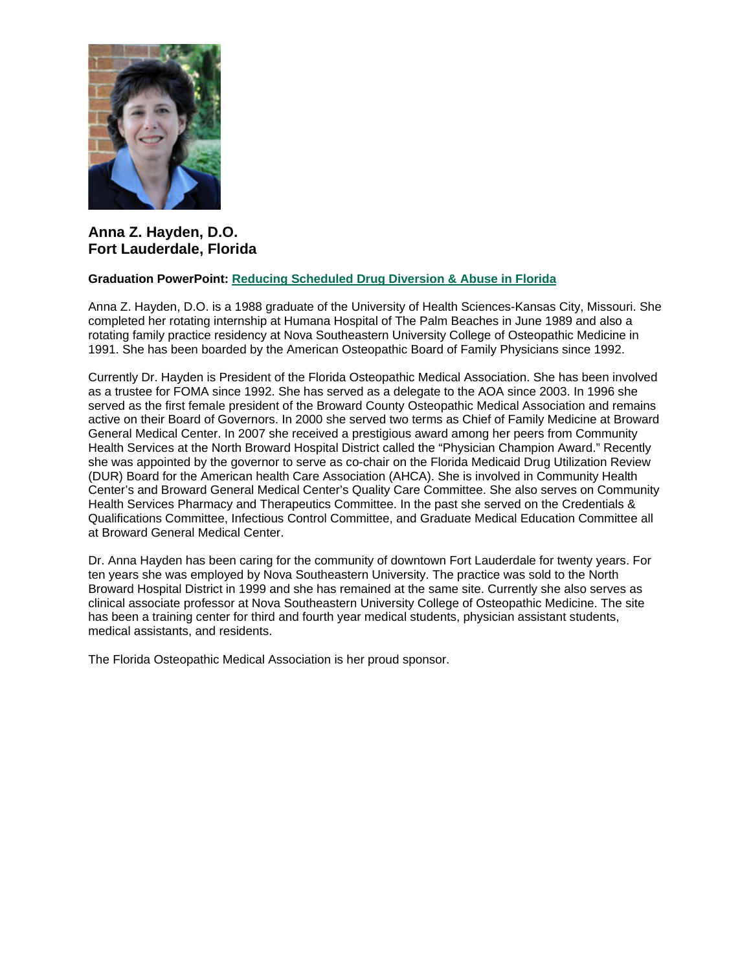

**Anna Z. Hayden, D.O. Fort Lauderdale, Florida**

#### **Graduation PowerPoint: [Reducing Scheduled Drug Diversion & Abuse in Florida](https://ohio.box.com/s/8ktpyci2qndlhhxo80haq2eah0rl6pqq)**

Anna Z. Hayden, D.O. is a 1988 graduate of the University of Health Sciences-Kansas City, Missouri. She completed her rotating internship at Humana Hospital of The Palm Beaches in June 1989 and also a rotating family practice residency at Nova Southeastern University College of Osteopathic Medicine in 1991. She has been boarded by the American Osteopathic Board of Family Physicians since 1992.

Currently Dr. Hayden is President of the Florida Osteopathic Medical Association. She has been involved as a trustee for FOMA since 1992. She has served as a delegate to the AOA since 2003. In 1996 she served as the first female president of the Broward County Osteopathic Medical Association and remains active on their Board of Governors. In 2000 she served two terms as Chief of Family Medicine at Broward General Medical Center. In 2007 she received a prestigious award among her peers from Community Health Services at the North Broward Hospital District called the "Physician Champion Award." Recently she was appointed by the governor to serve as co-chair on the Florida Medicaid Drug Utilization Review (DUR) Board for the American health Care Association (AHCA). She is involved in Community Health Center's and Broward General Medical Center's Quality Care Committee. She also serves on Community Health Services Pharmacy and Therapeutics Committee. In the past she served on the Credentials & Qualifications Committee, Infectious Control Committee, and Graduate Medical Education Committee all at Broward General Medical Center.

Dr. Anna Hayden has been caring for the community of downtown Fort Lauderdale for twenty years. For ten years she was employed by Nova Southeastern University. The practice was sold to the North Broward Hospital District in 1999 and she has remained at the same site. Currently she also serves as clinical associate professor at Nova Southeastern University College of Osteopathic Medicine. The site has been a training center for third and fourth year medical students, physician assistant students, medical assistants, and residents.

The Florida Osteopathic Medical Association is her proud sponsor.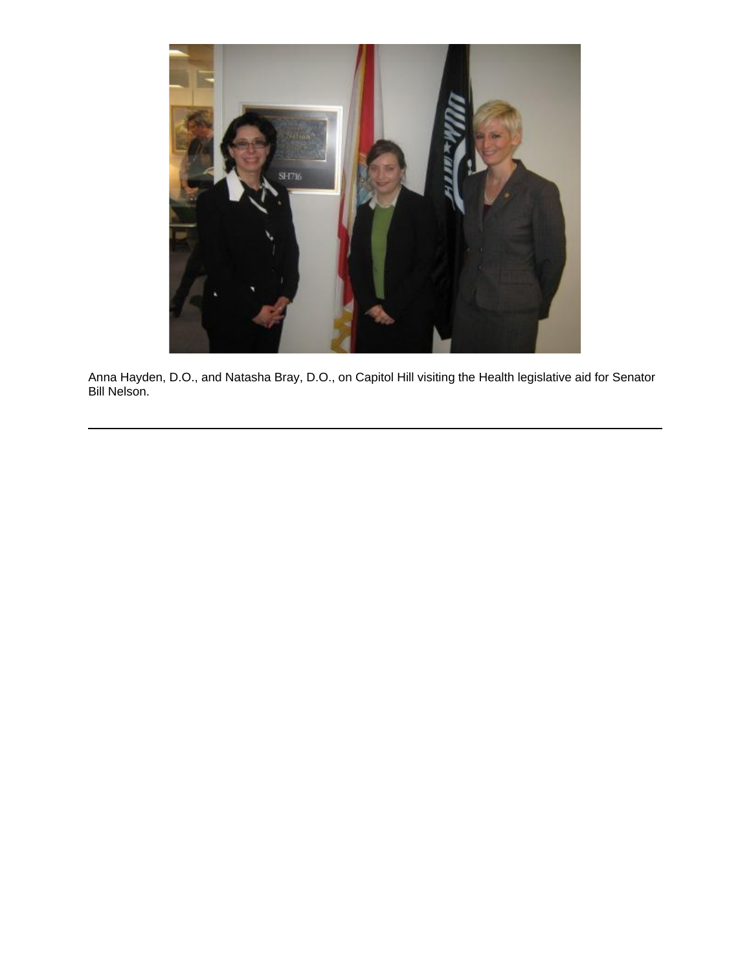

Anna Hayden, D.O., and Natasha Bray, D.O., on Capitol Hill visiting the Health legislative aid for Senator Bill Nelson.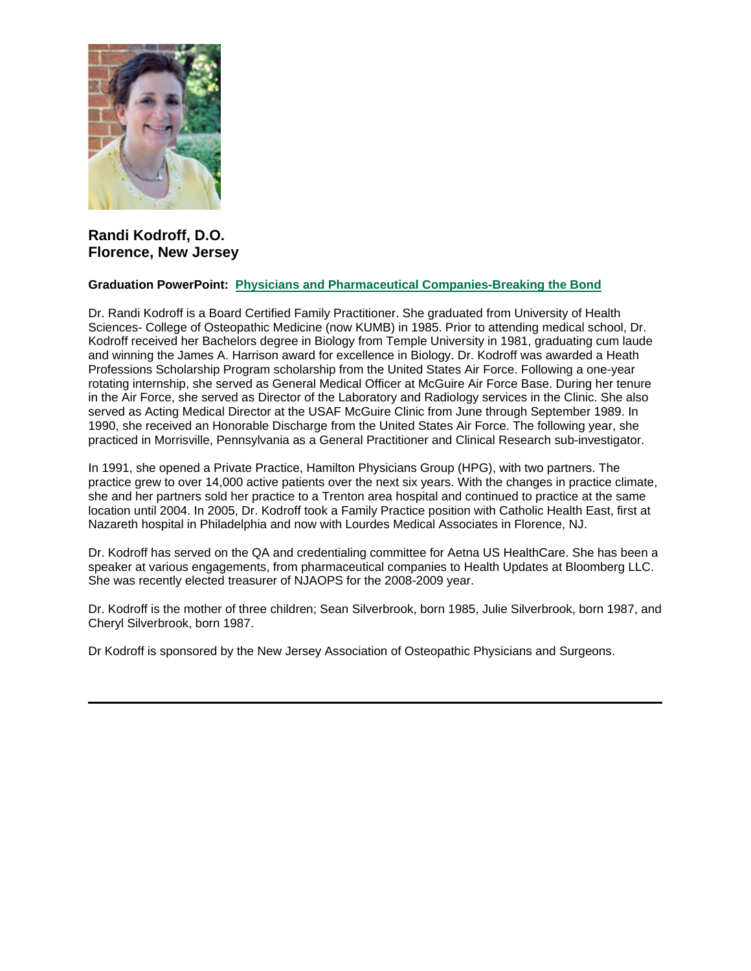

# **Randi Kodroff, D.O. Florence, New Jersey**

#### **Graduation PowerPoint: [Physicians and Pharmaceutical Companies-Breaking the Bond](https://ohio.box.com/s/xtx3txyi6rp6mrru0mwa2qppbp8v3q5u)**

Dr. Randi Kodroff is a Board Certified Family Practitioner. She graduated from University of Health Sciences- College of Osteopathic Medicine (now KUMB) in 1985. Prior to attending medical school, Dr. Kodroff received her Bachelors degree in Biology from Temple University in 1981, graduating cum laude and winning the James A. Harrison award for excellence in Biology. Dr. Kodroff was awarded a Heath Professions Scholarship Program scholarship from the United States Air Force. Following a one-year rotating internship, she served as General Medical Officer at McGuire Air Force Base. During her tenure in the Air Force, she served as Director of the Laboratory and Radiology services in the Clinic. She also served as Acting Medical Director at the USAF McGuire Clinic from June through September 1989. In 1990, she received an Honorable Discharge from the United States Air Force. The following year, she practiced in Morrisville, Pennsylvania as a General Practitioner and Clinical Research sub-investigator.

In 1991, she opened a Private Practice, Hamilton Physicians Group (HPG), with two partners. The practice grew to over 14,000 active patients over the next six years. With the changes in practice climate, she and her partners sold her practice to a Trenton area hospital and continued to practice at the same location until 2004. In 2005, Dr. Kodroff took a Family Practice position with Catholic Health East, first at Nazareth hospital in Philadelphia and now with Lourdes Medical Associates in Florence, NJ.

Dr. Kodroff has served on the QA and credentialing committee for Aetna US HealthCare. She has been a speaker at various engagements, from pharmaceutical companies to Health Updates at Bloomberg LLC. She was recently elected treasurer of NJAOPS for the 2008-2009 year.

Dr. Kodroff is the mother of three children; Sean Silverbrook, born 1985, Julie Silverbrook, born 1987, and Cheryl Silverbrook, born 1987.

Dr Kodroff is sponsored by the New Jersey Association of Osteopathic Physicians and Surgeons.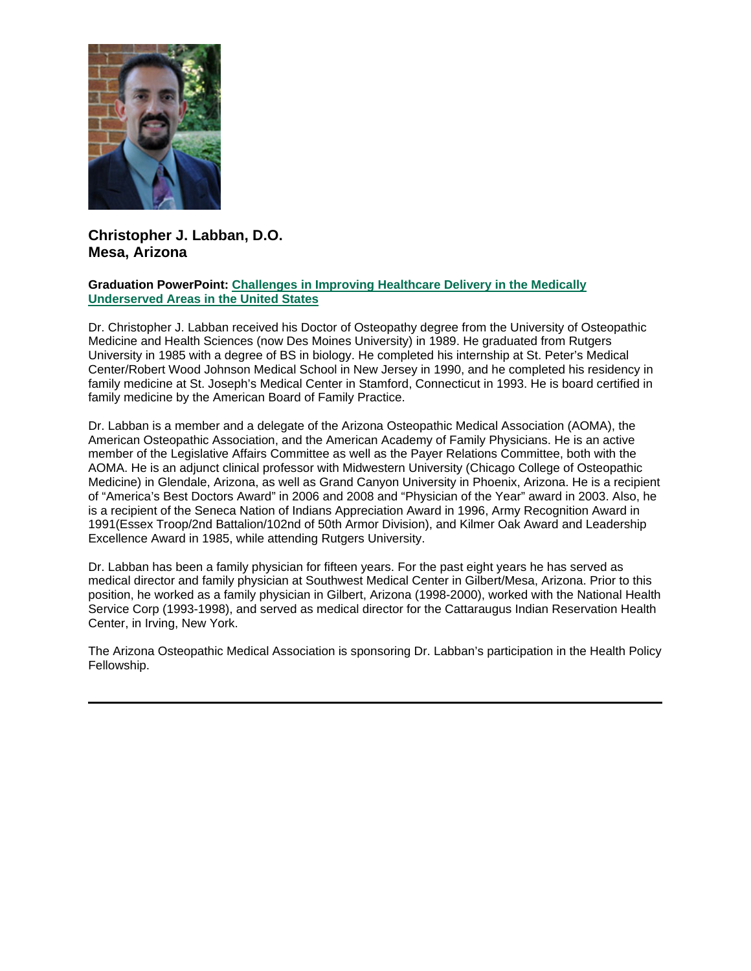

# **Christopher J. Labban, D.O. Mesa, Arizona**

#### **Graduation PowerPoint: [Challenges in Improving Healthcare Delivery in the Medically](https://ohio.box.com/s/m8e9u835sjea7qekw00h8xapxxxbab5r)  [Underserved Areas in the United States](https://ohio.box.com/s/m8e9u835sjea7qekw00h8xapxxxbab5r)**

Dr. Christopher J. Labban received his Doctor of Osteopathy degree from the University of Osteopathic Medicine and Health Sciences (now Des Moines University) in 1989. He graduated from Rutgers University in 1985 with a degree of BS in biology. He completed his internship at St. Peter's Medical Center/Robert Wood Johnson Medical School in New Jersey in 1990, and he completed his residency in family medicine at St. Joseph's Medical Center in Stamford, Connecticut in 1993. He is board certified in family medicine by the American Board of Family Practice.

Dr. Labban is a member and a delegate of the Arizona Osteopathic Medical Association (AOMA), the American Osteopathic Association, and the American Academy of Family Physicians. He is an active member of the Legislative Affairs Committee as well as the Payer Relations Committee, both with the AOMA. He is an adjunct clinical professor with Midwestern University (Chicago College of Osteopathic Medicine) in Glendale, Arizona, as well as Grand Canyon University in Phoenix, Arizona. He is a recipient of "America's Best Doctors Award" in 2006 and 2008 and "Physician of the Year" award in 2003. Also, he is a recipient of the Seneca Nation of Indians Appreciation Award in 1996, Army Recognition Award in 1991(Essex Troop/2nd Battalion/102nd of 50th Armor Division), and Kilmer Oak Award and Leadership Excellence Award in 1985, while attending Rutgers University.

Dr. Labban has been a family physician for fifteen years. For the past eight years he has served as medical director and family physician at Southwest Medical Center in Gilbert/Mesa, Arizona. Prior to this position, he worked as a family physician in Gilbert, Arizona (1998-2000), worked with the National Health Service Corp (1993-1998), and served as medical director for the Cattaraugus Indian Reservation Health Center, in Irving, New York.

The Arizona Osteopathic Medical Association is sponsoring Dr. Labban's participation in the Health Policy Fellowship.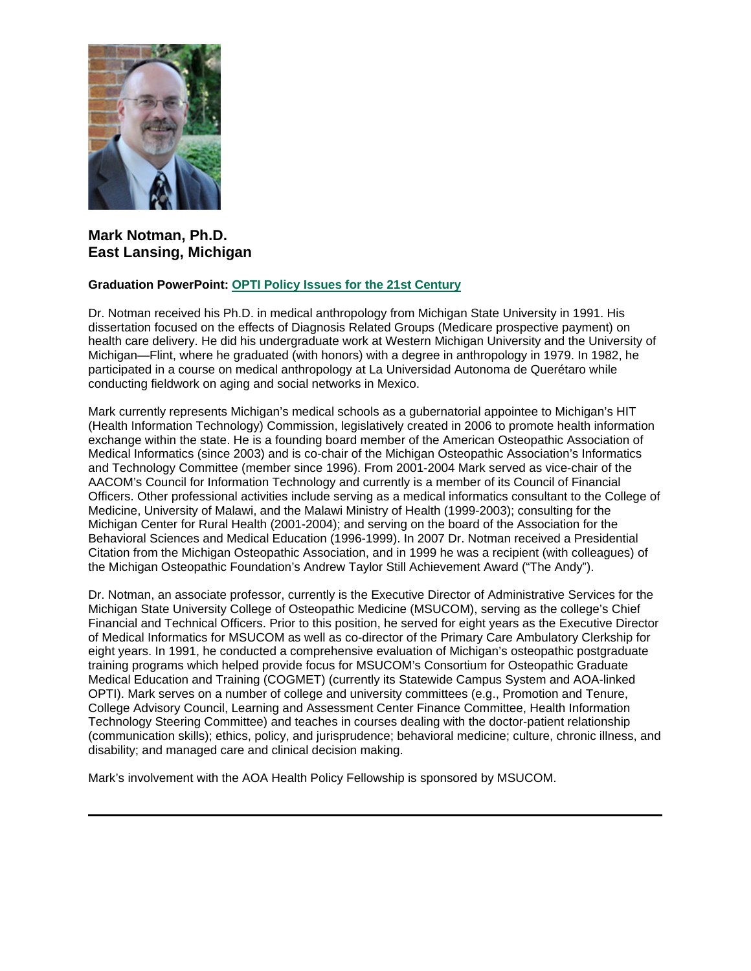

# **Mark Notman, Ph.D. East Lansing, Michigan**

#### **Graduation PowerPoint: [OPTI Policy Issues for the 21st Century](https://ohio.box.com/s/uhfhtvn2l2xqz8p2oasuymd1jjzvlrot)**

Dr. Notman received his Ph.D. in medical anthropology from Michigan State University in 1991. His dissertation focused on the effects of Diagnosis Related Groups (Medicare prospective payment) on health care delivery. He did his undergraduate work at Western Michigan University and the University of Michigan—Flint, where he graduated (with honors) with a degree in anthropology in 1979. In 1982, he participated in a course on medical anthropology at La Universidad Autonoma de Querétaro while conducting fieldwork on aging and social networks in Mexico.

Mark currently represents Michigan's medical schools as a gubernatorial appointee to Michigan's HIT (Health Information Technology) Commission, legislatively created in 2006 to promote health information exchange within the state. He is a founding board member of the American Osteopathic Association of Medical Informatics (since 2003) and is co-chair of the Michigan Osteopathic Association's Informatics and Technology Committee (member since 1996). From 2001-2004 Mark served as vice-chair of the AACOM's Council for Information Technology and currently is a member of its Council of Financial Officers. Other professional activities include serving as a medical informatics consultant to the College of Medicine, University of Malawi, and the Malawi Ministry of Health (1999-2003); consulting for the Michigan Center for Rural Health (2001-2004); and serving on the board of the Association for the Behavioral Sciences and Medical Education (1996-1999). In 2007 Dr. Notman received a Presidential Citation from the Michigan Osteopathic Association, and in 1999 he was a recipient (with colleagues) of the Michigan Osteopathic Foundation's Andrew Taylor Still Achievement Award ("The Andy").

Dr. Notman, an associate professor, currently is the Executive Director of Administrative Services for the Michigan State University College of Osteopathic Medicine (MSUCOM), serving as the college's Chief Financial and Technical Officers. Prior to this position, he served for eight years as the Executive Director of Medical Informatics for MSUCOM as well as co-director of the Primary Care Ambulatory Clerkship for eight years. In 1991, he conducted a comprehensive evaluation of Michigan's osteopathic postgraduate training programs which helped provide focus for MSUCOM's Consortium for Osteopathic Graduate Medical Education and Training (COGMET) (currently its Statewide Campus System and AOA-linked OPTI). Mark serves on a number of college and university committees (e.g., Promotion and Tenure, College Advisory Council, Learning and Assessment Center Finance Committee, Health Information Technology Steering Committee) and teaches in courses dealing with the doctor-patient relationship (communication skills); ethics, policy, and jurisprudence; behavioral medicine; culture, chronic illness, and disability; and managed care and clinical decision making.

Mark's involvement with the AOA Health Policy Fellowship is sponsored by MSUCOM.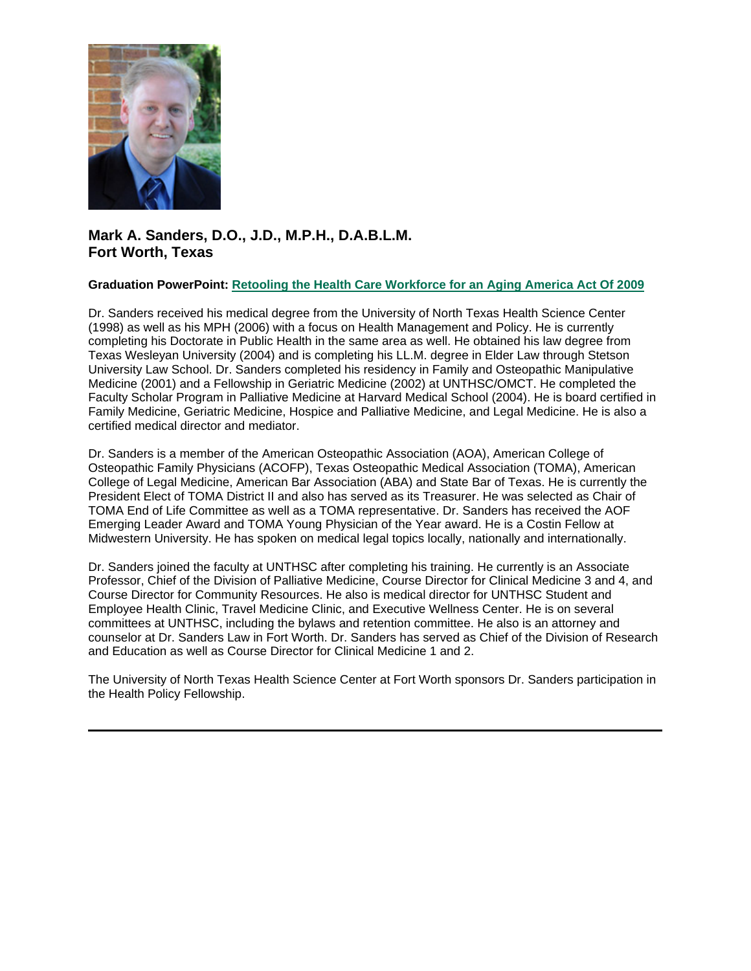

# **Mark A. Sanders, D.O., J.D., M.P.H., D.A.B.L.M. Fort Worth, Texas**

#### **Graduation PowerPoint: [Retooling the Health Care Workforce for an Aging America Act Of 2009](https://ohio.box.com/s/4meq8l5gpdcp0raso354yx1p79p2tmkj)**

Dr. Sanders received his medical degree from the University of North Texas Health Science Center (1998) as well as his MPH (2006) with a focus on Health Management and Policy. He is currently completing his Doctorate in Public Health in the same area as well. He obtained his law degree from Texas Wesleyan University (2004) and is completing his LL.M. degree in Elder Law through Stetson University Law School. Dr. Sanders completed his residency in Family and Osteopathic Manipulative Medicine (2001) and a Fellowship in Geriatric Medicine (2002) at UNTHSC/OMCT. He completed the Faculty Scholar Program in Palliative Medicine at Harvard Medical School (2004). He is board certified in Family Medicine, Geriatric Medicine, Hospice and Palliative Medicine, and Legal Medicine. He is also a certified medical director and mediator.

Dr. Sanders is a member of the American Osteopathic Association (AOA), American College of Osteopathic Family Physicians (ACOFP), Texas Osteopathic Medical Association (TOMA), American College of Legal Medicine, American Bar Association (ABA) and State Bar of Texas. He is currently the President Elect of TOMA District II and also has served as its Treasurer. He was selected as Chair of TOMA End of Life Committee as well as a TOMA representative. Dr. Sanders has received the AOF Emerging Leader Award and TOMA Young Physician of the Year award. He is a Costin Fellow at Midwestern University. He has spoken on medical legal topics locally, nationally and internationally.

Dr. Sanders joined the faculty at UNTHSC after completing his training. He currently is an Associate Professor, Chief of the Division of Palliative Medicine, Course Director for Clinical Medicine 3 and 4, and Course Director for Community Resources. He also is medical director for UNTHSC Student and Employee Health Clinic, Travel Medicine Clinic, and Executive Wellness Center. He is on several committees at UNTHSC, including the bylaws and retention committee. He also is an attorney and counselor at Dr. Sanders Law in Fort Worth. Dr. Sanders has served as Chief of the Division of Research and Education as well as Course Director for Clinical Medicine 1 and 2.

The University of North Texas Health Science Center at Fort Worth sponsors Dr. Sanders participation in the Health Policy Fellowship.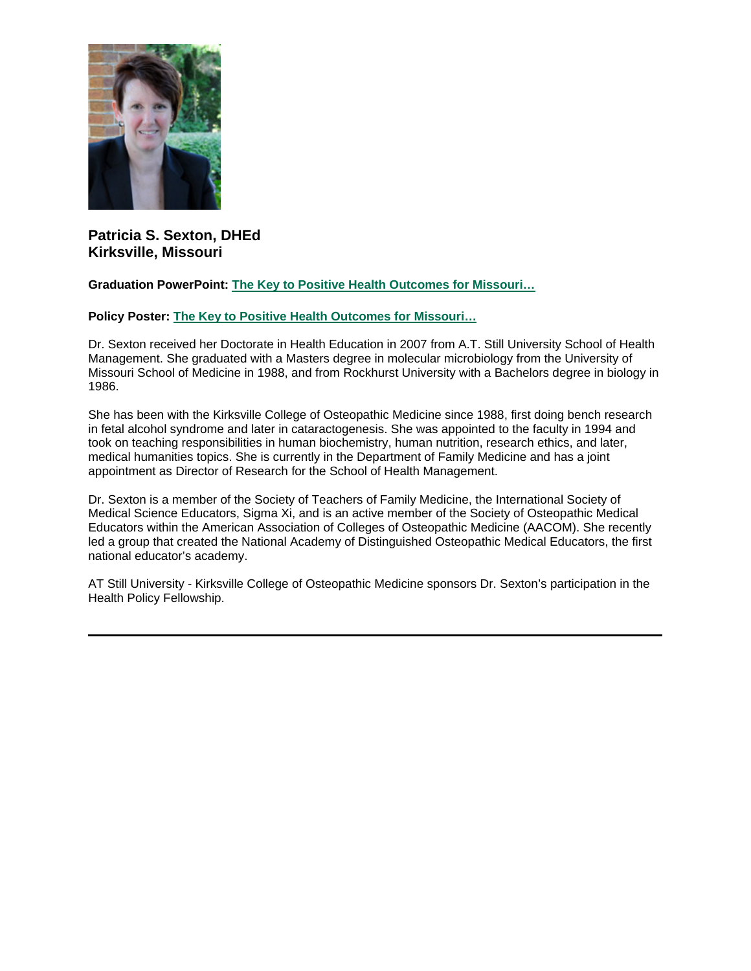

## **Patricia S. Sexton, DHEd Kirksville, Missouri**

#### **Graduation PowerPoint: [The Key to Positive Health Outcomes for Missouri…](https://ohio.box.com/s/kd101wx1feixsra7ptmf2tonusxji69y)**

### **Policy Poster: [The Key to Positive Health Outcomes for Missouri…](https://ohio.box.com/s/gknov2h5pz85z18ufaanpwynffux2i0d)**

Dr. Sexton received her Doctorate in Health Education in 2007 from A.T. Still University School of Health Management. She graduated with a Masters degree in molecular microbiology from the University of Missouri School of Medicine in 1988, and from Rockhurst University with a Bachelors degree in biology in 1986.

She has been with the Kirksville College of Osteopathic Medicine since 1988, first doing bench research in fetal alcohol syndrome and later in cataractogenesis. She was appointed to the faculty in 1994 and took on teaching responsibilities in human biochemistry, human nutrition, research ethics, and later, medical humanities topics. She is currently in the Department of Family Medicine and has a joint appointment as Director of Research for the School of Health Management.

Dr. Sexton is a member of the Society of Teachers of Family Medicine, the International Society of Medical Science Educators, Sigma Xi, and is an active member of the Society of Osteopathic Medical Educators within the American Association of Colleges of Osteopathic Medicine (AACOM). She recently led a group that created the National Academy of Distinguished Osteopathic Medical Educators, the first national educator's academy.

AT Still University - Kirksville College of Osteopathic Medicine sponsors Dr. Sexton's participation in the Health Policy Fellowship.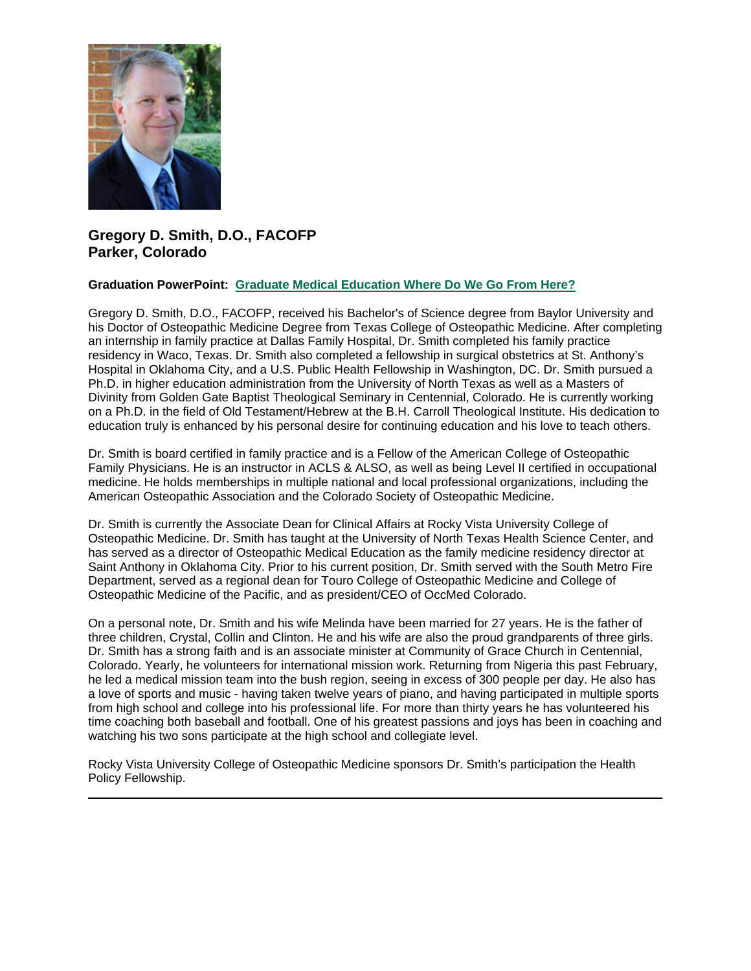

# **Gregory D. Smith, D.O., FACOFP Parker, Colorado**

#### **Graduation PowerPoint: [Graduate Medical Education Where Do We Go From Here?](https://ohio.box.com/s/rqb4dhwekuz145zv6a1hi9t5vs38ij6c)**

Gregory D. Smith, D.O., FACOFP, received his Bachelor's of Science degree from Baylor University and his Doctor of Osteopathic Medicine Degree from Texas College of Osteopathic Medicine. After completing an internship in family practice at Dallas Family Hospital, Dr. Smith completed his family practice residency in Waco, Texas. Dr. Smith also completed a fellowship in surgical obstetrics at St. Anthony's Hospital in Oklahoma City, and a U.S. Public Health Fellowship in Washington, DC. Dr. Smith pursued a Ph.D. in higher education administration from the University of North Texas as well as a Masters of Divinity from Golden Gate Baptist Theological Seminary in Centennial, Colorado. He is currently working on a Ph.D. in the field of Old Testament/Hebrew at the B.H. Carroll Theological Institute. His dedication to education truly is enhanced by his personal desire for continuing education and his love to teach others.

Dr. Smith is board certified in family practice and is a Fellow of the American College of Osteopathic Family Physicians. He is an instructor in ACLS & ALSO, as well as being Level II certified in occupational medicine. He holds memberships in multiple national and local professional organizations, including the American Osteopathic Association and the Colorado Society of Osteopathic Medicine.

Dr. Smith is currently the Associate Dean for Clinical Affairs at Rocky Vista University College of Osteopathic Medicine. Dr. Smith has taught at the University of North Texas Health Science Center, and has served as a director of Osteopathic Medical Education as the family medicine residency director at Saint Anthony in Oklahoma City. Prior to his current position, Dr. Smith served with the South Metro Fire Department, served as a regional dean for Touro College of Osteopathic Medicine and College of Osteopathic Medicine of the Pacific, and as president/CEO of OccMed Colorado.

On a personal note, Dr. Smith and his wife Melinda have been married for 27 years. He is the father of three children, Crystal, Collin and Clinton. He and his wife are also the proud grandparents of three girls. Dr. Smith has a strong faith and is an associate minister at Community of Grace Church in Centennial, Colorado. Yearly, he volunteers for international mission work. Returning from Nigeria this past February, he led a medical mission team into the bush region, seeing in excess of 300 people per day. He also has a love of sports and music - having taken twelve years of piano, and having participated in multiple sports from high school and college into his professional life. For more than thirty years he has volunteered his time coaching both baseball and football. One of his greatest passions and joys has been in coaching and watching his two sons participate at the high school and collegiate level.

Rocky Vista University College of Osteopathic Medicine sponsors Dr. Smith's participation the Health Policy Fellowship.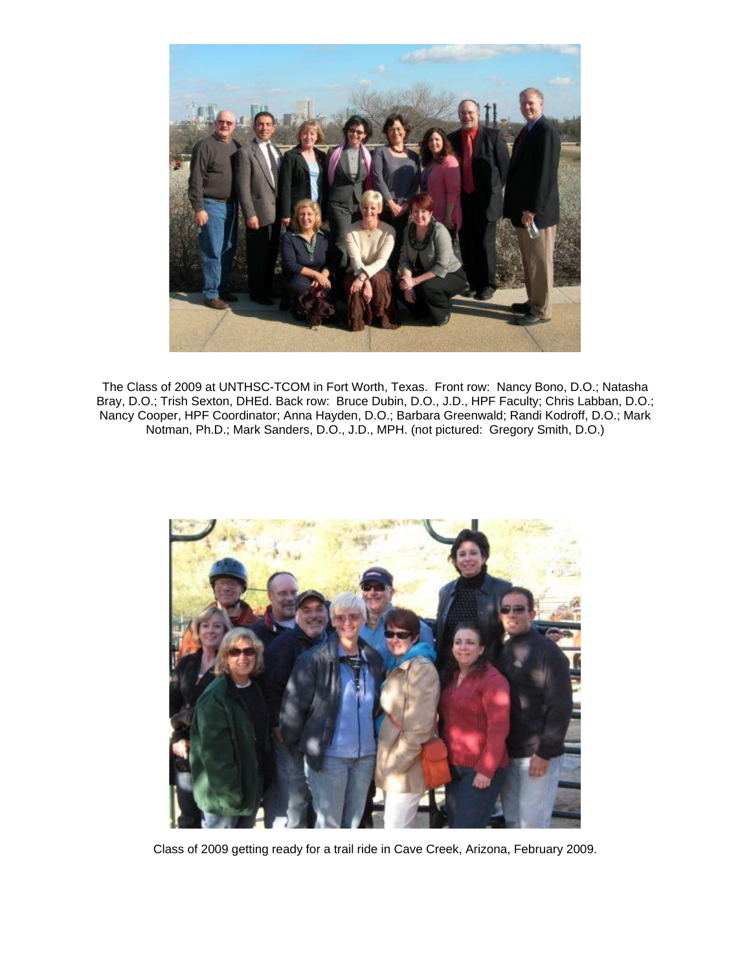

The Class of 2009 at UNTHSC-TCOM in Fort Worth, Texas. Front row: Nancy Bono, D.O.; Natasha Bray, D.O.; Trish Sexton, DHEd. Back row: Bruce Dubin, D.O., J.D., HPF Faculty; Chris Labban, D.O.; Nancy Cooper, HPF Coordinator; Anna Hayden, D.O.; Barbara Greenwald; Randi Kodroff, D.O.; Mark Notman, Ph.D.; Mark Sanders, D.O., J.D., MPH. (not pictured: Gregory Smith, D.O.)



Class of 2009 getting ready for a trail ride in Cave Creek, Arizona, February 2009.